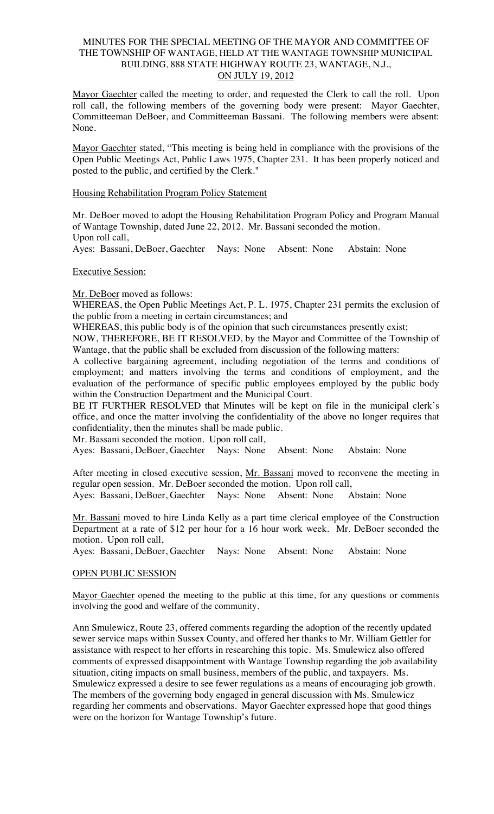### MINUTES FOR THE SPECIAL MEETING OF THE MAYOR AND COMMITTEE OF THE TOWNSHIP OF WANTAGE, HELD AT THE WANTAGE TOWNSHIP MUNICIPAL BUILDING, 888 STATE HIGHWAY ROUTE 23, WANTAGE, N.J., ON JULY 19, 2012

Mayor Gaechter called the meeting to order, and requested the Clerk to call the roll. Upon roll call, the following members of the governing body were present: Mayor Gaechter, Committeeman DeBoer, and Committeeman Bassani. The following members were absent: None.

Mayor Gaechter stated, "This meeting is being held in compliance with the provisions of the Open Public Meetings Act, Public Laws 1975, Chapter 231. It has been properly noticed and posted to the public, and certified by the Clerk."

#### Housing Rehabilitation Program Policy Statement

Mr. DeBoer moved to adopt the Housing Rehabilitation Program Policy and Program Manual of Wantage Township, dated June 22, 2012. Mr. Bassani seconded the motion. Upon roll call,

Ayes: Bassani, DeBoer, Gaechter Nays: None Absent: None Abstain: None

#### Executive Session:

#### Mr. DeBoer moved as follows:

WHEREAS, the Open Public Meetings Act, P. L. 1975, Chapter 231 permits the exclusion of the public from a meeting in certain circumstances; and

WHEREAS, this public body is of the opinion that such circumstances presently exist;

NOW, THEREFORE, BE IT RESOLVED, by the Mayor and Committee of the Township of Wantage, that the public shall be excluded from discussion of the following matters:

A collective bargaining agreement, including negotiation of the terms and conditions of employment; and matters involving the terms and conditions of employment, and the evaluation of the performance of specific public employees employed by the public body within the Construction Department and the Municipal Court.

BE IT FURTHER RESOLVED that Minutes will be kept on file in the municipal clerk's office, and once the matter involving the confidentiality of the above no longer requires that confidentiality, then the minutes shall be made public.

Mr. Bassani seconded the motion. Upon roll call,

Ayes: Bassani, DeBoer, Gaechter Nays: None Absent: None Abstain: None

After meeting in closed executive session, Mr. Bassani moved to reconvene the meeting in regular open session. Mr. DeBoer seconded the motion. Upon roll call,

Ayes: Bassani, DeBoer, Gaechter Nays: None Absent: None Abstain: None

Mr. Bassani moved to hire Linda Kelly as a part time clerical employee of the Construction Department at a rate of \$12 per hour for a 16 hour work week. Mr. DeBoer seconded the motion. Upon roll call,

Ayes: Bassani, DeBoer, Gaechter Nays: None Absent: None Abstain: None

#### OPEN PUBLIC SESSION

Mayor Gaechter opened the meeting to the public at this time, for any questions or comments involving the good and welfare of the community.

Ann Smulewicz, Route 23, offered comments regarding the adoption of the recently updated sewer service maps within Sussex County, and offered her thanks to Mr. William Gettler for assistance with respect to her efforts in researching this topic. Ms. Smulewicz also offered comments of expressed disappointment with Wantage Township regarding the job availability situation, citing impacts on small business, members of the public, and taxpayers. Ms. Smulewicz expressed a desire to see fewer regulations as a means of encouraging job growth. The members of the governing body engaged in general discussion with Ms. Smulewicz regarding her comments and observations. Mayor Gaechter expressed hope that good things were on the horizon for Wantage Township's future.